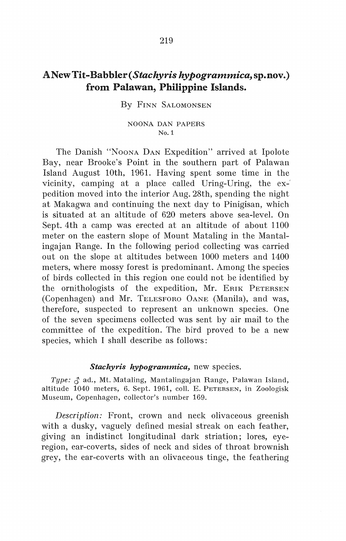## ANew Tit-Bah bier ( *Stachyris hypogrammica,* sp. nov.) from Palawan, Philippine Islands.

By FINN SALOMONSEN

## NOONA DAN PAPERS No.1

The Danish "NooNA DAN Expedition" arrived at Ipolote Bay, near Brooke's Point in the southern part of Palawan Island August lOth, 1961. Having spent some time in the vicinity, camping at a place called Uring-Uring, the expedition moved into the interior Aug. 28th, spending the night at Makagwa and continuing the next day to Pinigisan, which is situated at an altitude of 620 meters above sea-level. On Sept. 4th a camp was erected at an altitude of about 1100 meter on the eastern slope of Mount Mataling in the Mantalingajan Range. In the following period collecting was carried out on the slope at altitudes between 1000 meters and 1400 meters, where mossy forest is predominant. Among the species of hirds collected in this region one could not be identified by the ornithologists of the expedition, Mr. ERIK PETERSEN (Copenhagen) and Mr. TELESFORO 0ANE (Manila), and was, therefore, suspected to represent an unknown species. One of the seven specimens collected was sent by air mail to the committee of the expedition. The hird proved to be a new species, which I shall describe as follows:

## *Stachyris hypogrammica,* new species.

*Type:* 6 ad., Mt. Mataling, Mantalingajan Range, Palawan Island, altitude 1040 meters, 6. Sept. 1961, coll. E. PETERSEN, in Zoologisk Museum, Copenhagen, collector's number 169.

*Description:* Front, crown and neck olivaceous greenish with a dusky, vaguely defined mesial streak on each feather, giving an indistinct longitudinal dark striation; lores, eyeregion, ear-coverts, sides of neck and sides of throat brownish grey, the ear-coverts with an olivaceous tinge, the feathering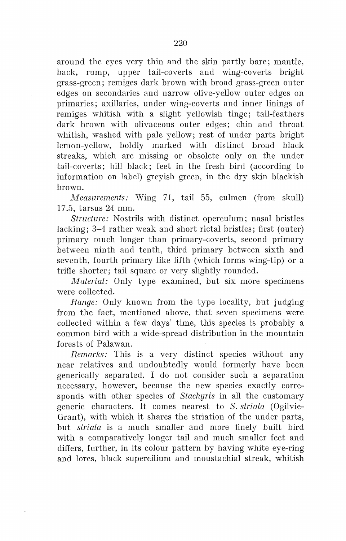around the eyes very thin and the skin partly bare; mantle, back, rump, upper tail-coverts and wing-coverts bright grass-green; remiges dark brown with broad grass-green outer edges on secondaries and narrow olive-yellow outer edges on primaries; axillaries, under wing-coverts and inner linings of remiges whitish with a slight yellowish tinge; tail-feathers dark brown with olivaceous outer edges; chin and throat whitish, washed with pale yellow; rest of under parts bright lemon-yellow, boldly marked with distinct broad black streaks, which are missing or obsolete only on the under tail-coverts; bill black; feet in the fresh bird (according to information on label) greyish green, in the dry skin blackish brown.

*Measurements:* Wing 71, tail 55, culmen (from skull) 17 .5, tarsus 24 mm.

*Structure:* Nostrils with distinct operculum; nasal bristles lacking; 3–4 rather weak and short rictal bristles; first (outer) primary much longer than primary-coverts, second primary between ninth and tenth, third primary between sixth and seventh, fourth primary like fifth (which forms wing-tip) or a trifle shorter; tail square or very slightly rounded.

*Material:* Only type examined, but six more specimens were collected.

*Range:* Only known from the type locality, but judging from the faet, mentioned above, that seven specimens were collected within a few days' time, this species is probably a common bird with a wide-spread distribution in the mountain forests of Palawan.

*Remarks:* This is a very distinct species without any near relatives and undoubtedly would formerly have been generically separated. I do not consider such a separation necessary, however, because the new species exactly corresponds with other species of *Stachyris* in all the customary generic characters. It comes nearest to *S. striata* (Ogilvie-Grant), with which it shares the striation of the under parts, but *striata* is a much smaller and more finely built bird with a comparatively longer tail and much smaller feet and differs, further, in its colour pattern by having white eye-ring and lores, black supercilium and moustachial streak, whitish